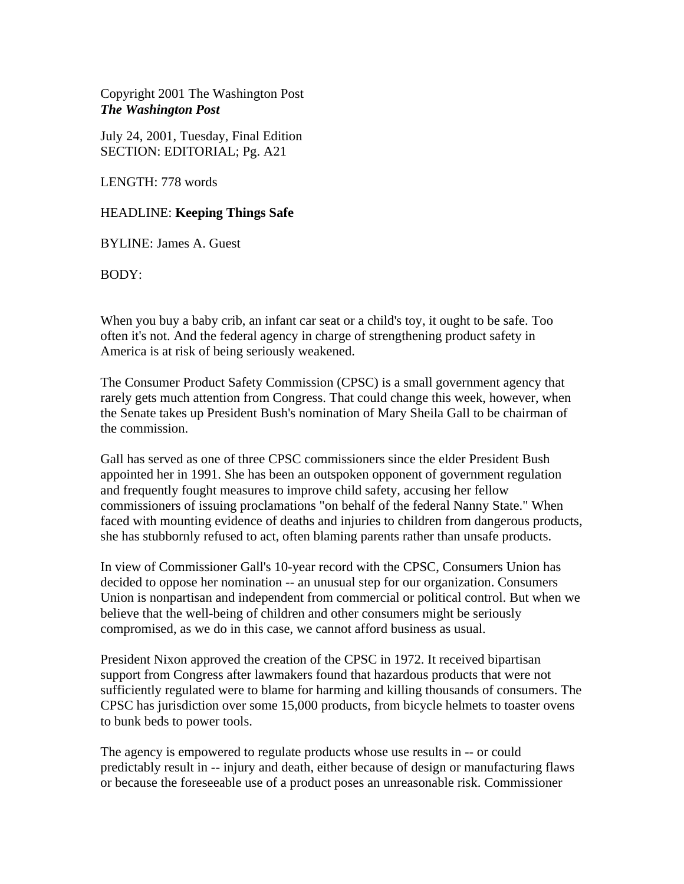Copyright 2001 The Washington Post *The Washington Post* 

July 24, 2001, Tuesday, Final Edition SECTION: EDITORIAL; Pg. A21

LENGTH: 778 words

## HEADLINE: **Keeping Things Safe**

BYLINE: James A. Guest

BODY:

When you buy a baby crib, an infant car seat or a child's toy, it ought to be safe. Too often it's not. And the federal agency in charge of strengthening product safety in America is at risk of being seriously weakened.

The Consumer Product Safety Commission (CPSC) is a small government agency that rarely gets much attention from Congress. That could change this week, however, when the Senate takes up President Bush's nomination of Mary Sheila Gall to be chairman of the commission.

Gall has served as one of three CPSC commissioners since the elder President Bush appointed her in 1991. She has been an outspoken opponent of government regulation and frequently fought measures to improve child safety, accusing her fellow commissioners of issuing proclamations "on behalf of the federal Nanny State." When faced with mounting evidence of deaths and injuries to children from dangerous products, she has stubbornly refused to act, often blaming parents rather than unsafe products.

In view of Commissioner Gall's 10-year record with the CPSC, Consumers Union has decided to oppose her nomination -- an unusual step for our organization. Consumers Union is nonpartisan and independent from commercial or political control. But when we believe that the well-being of children and other consumers might be seriously compromised, as we do in this case, we cannot afford business as usual.

President Nixon approved the creation of the CPSC in 1972. It received bipartisan support from Congress after lawmakers found that hazardous products that were not sufficiently regulated were to blame for harming and killing thousands of consumers. The CPSC has jurisdiction over some 15,000 products, from bicycle helmets to toaster ovens to bunk beds to power tools.

The agency is empowered to regulate products whose use results in -- or could predictably result in -- injury and death, either because of design or manufacturing flaws or because the foreseeable use of a product poses an unreasonable risk. Commissioner